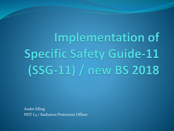Implementation of **Specific Safety Guide-11** (SSG-11) / new BS 2018

André Elling NDT L3 / Radiation Protection Officer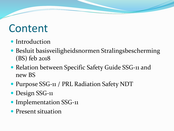### Content

- Introduction
- Besluit basisveiligheidsnormen Stralingsbescherming (BS) feb 2018
- Relation between Specific Safety Guide SSG-11 and new BS
- Purpose SSG-11 / PRL Radiation Safety NDT
- Design SSG-11
- Implementation SSG-11
- Present situation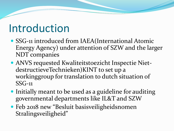### Introduction

- SSG-11 introduced from IAEA(International Atomic Energy Agency) under attention of SZW and the larger NDT companies
- ANVS requested Kwaliteitstoezicht Inspectie NietdestructieveTechnieken)KINT to set up a workinggroup for translation to dutch situation of SSG-11
- Initially meant to be used as a guideline for auditing governmental departments like IL&T and SZW
- Feb 2018 new "Besluit basisveiligheidsnomen Stralingsveiligheid"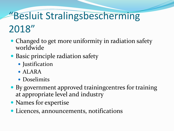#### "Besluit Stralingsbescherming 2018"

- Changed to get more uniformity in radiation safety worldwide
- Basic principle radiation safety
	- Justification
	- ALARA
	- Doselimits
- By government approved trainingcentres for training at appropriate level and industry
- Names for expertise
- Licences, announcements, notifications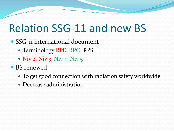### Relation SSG-11 and new BS

- SSG-11 international document
	- Terminology RPE, RPO, RPS
	- Niv 2, Niv 3, Niv 4, Niv  $5$
- BS renewed
	- To get good connection with radiation safety worldwide
	- Decrease administration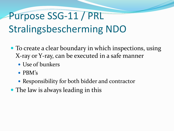### Purpose SSG-11 / PRL Stralingsbescherming NDO

- To create a clear boundary in which inspections, using X-ray or Y-ray, can be executed in a safe manner
	- Use of bunkers
	- PBM's
	- Responsibility for both bidder and contractor
- The law is always leading in this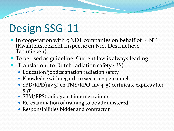### Design SSG-11

- In cooperation with 5 NDT companies on behalf of KINT (Kwaliteitstoezicht Inspectie en Niet Destructieve Technieken)
- To be used as guideline. Current law is always leading.
- **"Translation" to Dutch radiation safety (BS)** 
	- Education/jobdesignation radiation safety
	- Knowledge with regard to executing personnel
	- SBD/RPE(niv 3) en TMS/RPO(niv 4, 5) certificate expires after 5 yr
	- SBM/RPS(radiograaf) interne training.
	- Re-examination of training to be administered
	- Responsibilities bidder and contractor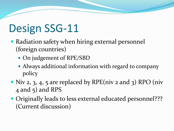## Design SSG-11

- Radiation safety when hiring external personnel (foreign countries)
	- On judgement of RPE/SBD
	- Always additional information with regard to company policy
- Niv 2, 3, 4, 5 are replaced by RPE(niv 2 and 3) RPO (niv 4 and 5) and RPS
- Originally leads to less external educated personnel??? (Current discussion)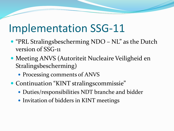### Implementation SSG-11

- "PRL Stralingsbescherming NDO NL" as the Dutch version of SSG-11
- Meeting ANVS (Autoriteit Nucleaire Veiligheid en Stralingsbescherming)
	- Processing comments of ANVS
- Continuation "KINT stralingscommissie"
	- Duties/responsibilities NDT branche and bidder
	- Invitation of bidders in KINT meetings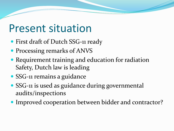### Present situation

- First draft of Dutch SSG-11 ready
- Processing remarks of ANVS
- Requirement training and education for radiation Safety, Dutch law is leading
- SSG-11 remains a guidance
- SSG-11 is used as guidance during governmental audits/inspections
- Improved cooperation between bidder and contractor?